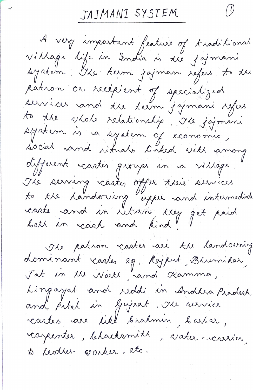JAJMANI SYSTEM

 $\left(\frac{\partial}{\partial x}\right)$ 

A very important feature of traditional village life in 2ndia is 1ee jajmane system: Oke term jajman sejers to du patron or recépient of specialized services and the term jajmani syles to the shole relationship. The joinani system is a system of economic,<br>social vand rituals linked sitt among different voartes groupes un va village. The serving reastes offer their services<br>to the handorising experiment intermediate carte and in return, trey get paid The patron castes are the landowning dominant castes eg, Rajput, Bhumidar,<br>Jat in the North, rand Ramma,

Lingayat and reddi in Andlia Pradesh and patel in Gujsat. The service castes ave like brahmin, barbar, rapenter, blacksmith, aater-carrier, te leatres corker, etc.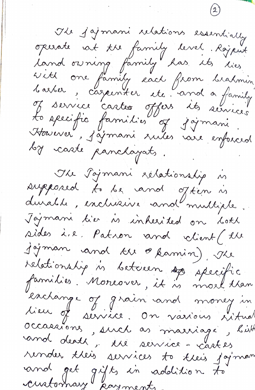Ile jajmani relations essentially opirate vat the family level. Rajent vitt one family each from brahmin<br>barber, cazernter etc. and a family<br>To service cartes offers its services<br>to seccific families of joimani Haierer, j'ajmani suiles voire enforced by caste panchayats. The Tojmani zélationship in supposed to be and often is durable, exclusive and multiple Jajmani tier is inherited on bokh sides i.e. Patron and client (the jojman and tu @kamin), Ile relationship in between specific families. Moreover, it is moet tran exchange of grain and money in occasaions, such as marriage, bit and death, the service - castes render their services to their joyman and get gifts in addition to